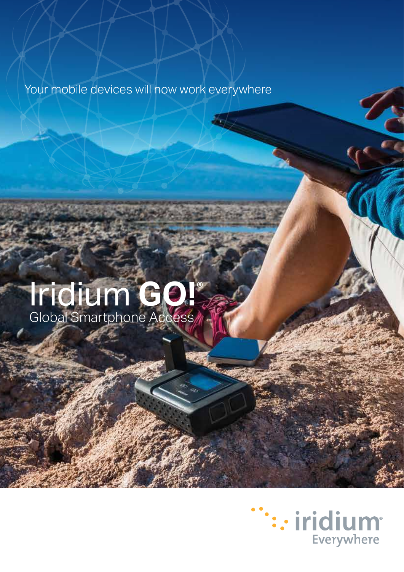## Your mobile devices will now work everywhere

# Iridium **GO!**® Global Smartphone Access

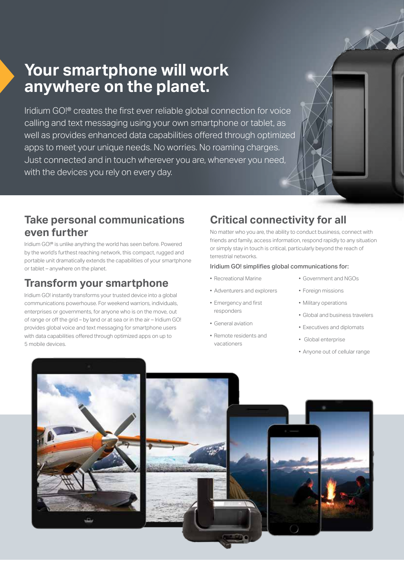## **Your smartphone will work anywhere on the planet.**

Iridium GO!® creates the first ever reliable global connection for voice calling and text messaging using your own smartphone or tablet, as well as provides enhanced data capabilities offered through optimized apps to meet your unique needs. No worries. No roaming charges. Just connected and in touch wherever you are, whenever you need, with the devices you rely on every day.

## **Take personal communications even further**

Iridium GO!® is unlike anything the world has seen before. Powered by the world's furthest reaching network, this compact, rugged and portable unit dramatically extends the capabilities of your smartphone or tablet – anywhere on the planet.

## **Transform your smartphone**

Iridium GO! instantly transforms your trusted device into a global communications powerhouse. For weekend warriors, individuals, enterprises or governments, for anyone who is on the move, out of range or off the grid – by land or at sea or in the air – Iridium GO! provides global voice and text messaging for smartphone users with data capabilities offered through optimized apps on up to 5 mobile devices.

## **Critical connectivity for all**

No matter who you are, the ability to conduct business, connect with friends and family, access information, respond rapidly to any situation or simply stay in touch is critical, particularly beyond the reach of terrestrial networks.

#### Iridium GO! simplifies global communications for:

- Recreational Marine
- Adventurers and explorers
- Emergency and first responders
- General aviation
- Remote residents and vacationers
- Government and NGOs
- Foreign missions
- Military operations
- Global and business travelers
- Executives and diplomats
- Global enterprise
- Anyone out of cellular range

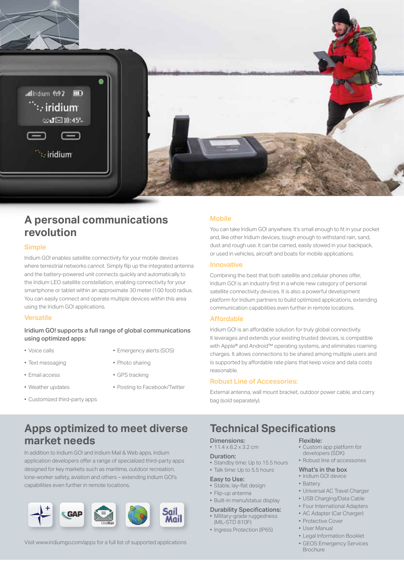

### **A personal communications revolution**

#### **Simple**

Iridium GO! enables satellite connectivity for your mobile devices where terrestrial networks cannot. Simply flip up the integrated antenna and the battery-powered unit connects quickly and automatically to the Iridium LEO satellite constellation, enabling connectivity for your smartphone or tablet within an approximate 30 meter (100 foot) radius. You can easily connect and operate multiple devices within this area using the Iridium GO! applications.

#### **Versatile**

#### Iridium GO! supports a full range of global communications using optimized apps:

• Voice calls

- 
- Text messaging
- Email access
- Weather updates
- Customized third-party apps
- Emergency alerts (SOS)
- Photo sharing
- GPS tracking
- Posting to Facebook/Twitter

#### **Mobile**

You can take Iridium GO! anywhere. It's small enough to fit in your pocket and, like other Iridium devices, tough enough to withstand rain, sand, dust and rough use. It can be carried, easily stowed in your backpack, or used in vehicles, aircraft and boats for mobile applications.

#### Innovative

Combining the best that both satellite and cellular phones offer, Iridium GO! is an industry first in a whole new category of personal satellite connectivity devices. It is also a powerful development platform for Iridium partners to build optimized applications, extending communication capabilities even further in remote locations.

#### Affordable

Iridium GO! is an affordable solution for truly global connectivity. It leverages and extends your existing trusted devices, is compatible with Apple® and Android™ operating systems, and eliminates roaming charges. It allows connections to be shared among multiple users and is supported by affordable rate plans that keep voice and data costs reasonable.

#### Robust Line of Accessories:

External antenna, wall mount bracket, outdoor power cable, and carry bag (sold separately).

### **Apps optimized to meet diverse market needs**

In addition to Iridium GO! and Iridium Mail & Web apps, Iridium application developers offer a range of specialized third-party apps designed for key markets such as maritime, outdoor recreation, lone-worker safety, aviation and others – extending Iridium GO!'s capabilities even further in remote locations.



Visit www.iridiumgo.com/apps for a full list of supported applications

## **Technical Specifications**

#### Dimensions:

 $• 114 x 82 x 32 cm$ 

#### Duration:

• Standby time: Up to 15.5 hours

#### • Talk time: Up to 5.5 hours Easy to Use:

- Stable, lay-flat design
- Flip-up antenna
- Built-in menu/status display
- 
- Durability Specifications: • Military-grade ruggedness (MIL-STD 810F)
- Ingress Protection (IP65)

#### Flexible:

- Custom app platform for developers (SDK)
- Robust line of accessories

#### What's in the box

- Iridium GO! device • Battery
- Universal AC Travel Charger
- USB Charging/Data Cable
- Four International Adapters
- AC Adapter (Car Charger)
- Protective Cover
- User Manual
- Legal Information Booklet
- GEOS Emergency Services **Brochure**